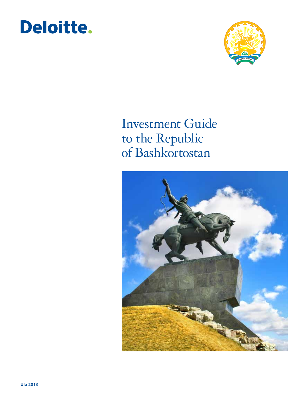



### Investment Guide to the Republic of Bashkortostan

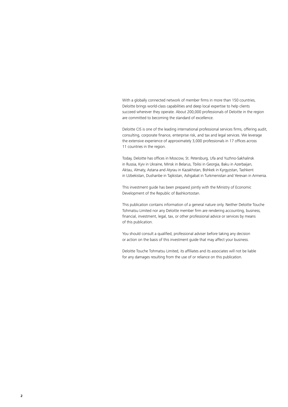With a globally connected network of member firms in more than 150 countries, Deloitte brings world-class capabilities and deep local expertise to help clients succeed wherever they operate. About 200,000 professionals of Deloitte in the region are committed to becoming the standard of excellence.

Deloitte CIS is one of the leading international professional services firms, offering audit, consulting, corporate finance, enterprise risk, and tax and legal services. We leverage the extensive experience of approximately 3,000 professionals in 17 offices across 11 countries in the region.

Today, Deloitte has offices in Moscow, St. Petersburg, Ufa and Yuzhno-Sakhalinsk in Russia, Kyiv in Ukraine, Minsk in Belarus, Tbilisi in Georgia, Baku in Azerbaijan, Aktau, Almaty, Astana and Atyrau in Kazakhstan, Bishkek in Kyrgyzstan, Tashkent in Uzbekistan, Dushanbe in Tajikistan, Ashgabat in Turkmenistan and Yerevan in Armenia.

This investment guide has been prepared jointly with the Ministry of Economic Development of the Republic of Bashkortostan.

This publication contains information of a general nature only. Neither Deloitte Touche Tohmatsu Limited nor any Deloitte member firm are rendering accounting, business, financial, investment, legal, tax, or other professional advice or services by means of this publication.

You should consult a qualified, professional adviser before taking any decision or action on the basis of this investment guide that may affect your business.

Deloitte Touche Tohmatsu Limited, its affiliates and its associates will not be liable for any damages resulting from the use of or reliance on this publication.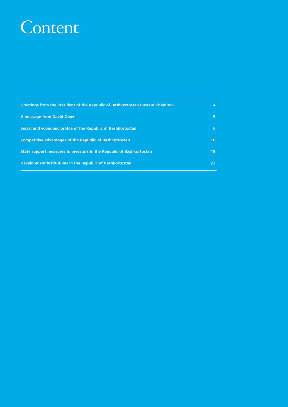### Content

| <b>Greetings from the President of the Republic of Bashkortostan Rustem Khamitov</b> | 4               |
|--------------------------------------------------------------------------------------|-----------------|
| A message from David Owen                                                            | 5.              |
| Social and economic profile of the Republic of Bashkortostan                         | 6               |
| <b>Competitive advantages of the Republic of Bashkortostan</b>                       | 10 <sup>1</sup> |
| State support measures to investors in the Republic of Bashkortostan                 | 19              |
| Development institutions in the Republic of Bashkortostan                            | 23              |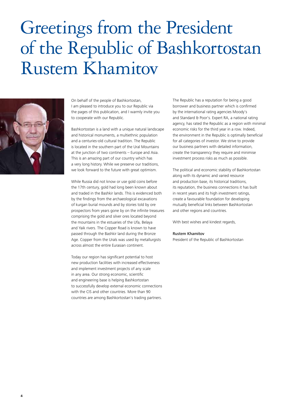# Greetings from the President of the Republic of Bashkortostan Rustem Khamitov



On behalf of the people of Bashkortostan, I am pleased to introduce you to our Republic via the pages of this publication, and I warmly invite you to cooperate with our Republic.

Bashkortostan is a land with a unique natural landscape and historical monuments, a multiethnic population and a centuries-old cultural tradition. The Republic is located in the southern part of the Ural Mountains at the junction of two continents – Europe and Asia. This is an amazing part of our country which has a very long history. While we preserve our traditions, we look forward to the future with great optimism.

While Russia did not know or use gold coins before the 17th century, gold had long been known about and traded in the Bashkir lands. This is evidenced both by the findings from the archaeological excavations of kurgan burial mounds and by stories told by ore prospectors from years gone by on the infinite treasures comprising the gold and silver ores located beyond the mountains in the estuaries of the Ufa, Belaya and Yaik rivers. The Copper Road is known to have passed through the Bashkir land during the Bronze Age. Copper from the Urals was used by metallurgists across almost the entire Eurasian continent.

Today our region has significant potential to host new production facilities with increased effectiveness and implement investment projects of any scale in any area. Our strong economic, scientific and engineering base is helping Bashkortostan to successfully develop external economic connections with the CIS and other countries. More than 90 countries are among Bashkortostan's trading partners.

The Republic has a reputation for being a good borrower and business partner which is confirmed by the international rating agencies Moody's and Standard & Poor's. Expert RA, a national rating agency, has rated the Republic as a region with minimal economic risks for the third year in a row. Indeed, the environment in the Republic is optimally beneficial for all categories of investor. We strive to provide our business partners with detailed information, create the transparency they require and minimise investment process risks as much as possible.

The political and economic stability of Bashkortostan along with its dynamic and varied resource and production base, its historical traditions, its reputation, the business connections it has built in recent years and its high investment ratings, create a favourable foundation for developing mutually beneficial links between Bashkortostan and other regions and countries.

With best wishes and kindest regards,

#### Rustem Khamitov

President of the Republic of Bashkortostan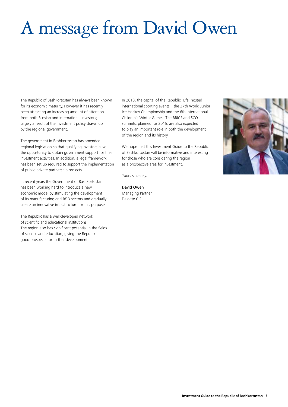# A message from David Owen

The Republic of Bashkortostan has always been known for its economic maturity. However it has recently been attracting an increasing amount of attention from both Russian and international investors; largely a result of the investment policy drawn up by the regional government.

The government in Bashkortostan has amended regional legislation so that qualifying investors have the opportunity to obtain government support for their investment activities. In addition, a legal framework has been set up required to support the implementation of public-private partnership projects.

In recent years the Government of Bashkortostan has been working hard to introduce a new economic model by stimulating the development of its manufacturing and R&D sectors and gradually create an innovative infrastructure for this purpose.

The Republic has a well-developed network of scientific and educational institutions. The region also has significant potential in the fields of science and education, giving the Republic good prospects for further development.

In 2013, the capital of the Republic, Ufa, hosted international sporting events – the 37th World Junior Ice Hockey Championship and the 6th International Children's Winter Games. The BRICS and SCO summits, planned for 2015, are also expected to play an important role in both the development of the region and its history.

We hope that this Investment Guide to the Republic of Bashkortostan will be informative and interesting for those who are considering the region as a prospective area for investment.

Yours sincerely,

David Owen Managing Partner, Deloitte CIS

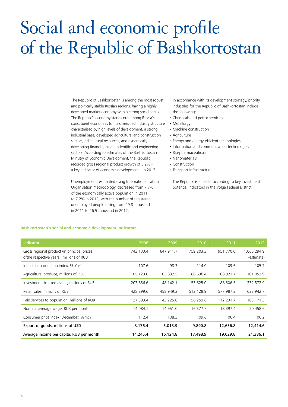# Social and economic profile of the Republic of Bashkortostan

The Republic of Bashkortostan is among the most robust and politically stable Russian regions, having a highly developed market economy with a strong social focus. The Republic's economy stands out among Russia's constituent economies for its diversified industry structure characterised by high levels of development, a strong industrial base, developed agricultural and construction sectors, rich natural resources, and dynamically developing financial, credit, scientific and engineering sectors. According to estimates of the Bashkortostan Ministry of Economic Development, the Republic recorded gross regional product growth of 5.2% – a key indicator of economic development – in 2012.

Unemployment, estimated using International Labour Organisation methodology, decreased from 7.7% of the economically active population in 2011 to 7.2% in 2012, with the number of registered unemployed people falling from 29.8 thousand in 2011 to 26.5 thousand in 2012.

In accordance with its development strategy, priority industries for the Republic of Bashkortostan include the following:

- • Chemicals and petrochemicals
- Metallurgy
- Machine construction
- • Agriculture
- Energy and energy-efficient technologies
- Information and communication technologies
- • Bio-pharmaceuticals
- • Nanomaterials
- Construction
- • Transport infrastructure

The Republic is a leader according to key investment potential indicators in the Volga Federal District.

| Indicator                                                                               | 2008      | 2009      | 2010      | 2011      | 2012                      |
|-----------------------------------------------------------------------------------------|-----------|-----------|-----------|-----------|---------------------------|
| Gross regional product (in principal prices<br>ofthe respective years), millions of RUB | 743,133.4 | 647,911.7 | 759,203.3 | 951,770.0 | 1,065,294.9<br>(estimate) |
| Industrial production index, % YoY                                                      | 107.6     | 98.3      | 114.0     | 109.6     | 105.7                     |
| Agricultural produce, millions of RUB                                                   | 105,123.0 | 103,832.5 | 88,636.4  | 108,921.7 | 101,053.9                 |
| Investments in fixed assets, millions of RUB                                            | 203,656.6 | 148,142.1 | 153,625.0 | 188,506.5 | 232,872.9                 |
| Retail sales, millions of RUB                                                           | 428,899.6 | 458,949.2 | 512,128.9 | 577,987.3 | 633,942.7                 |
| Paid services to population, millions of RUB                                            | 127,399.4 | 143,225.0 | 156,259.6 | 172,231.7 | 183,171.3                 |
| Nominal average wage, RUB per month                                                     | 14,084.1  | 14,951.0  | 16,377.7  | 18,397.4  | 20,458.6                  |
| Consumer price index, December, % YoY                                                   | 112.4     | 108.3     | 109.6     | 106.4     | 106.2                     |
| Export of goods, millions of USD                                                        | 8,176.4   | 5,013.9   | 9,890.8   | 12,656.8  | 12,414.6                  |
| Average income per capita, RUB per month                                                | 14,245.4  | 16,124.8  | 17,498.9  | 19,029.8  | 21,386.1                  |

#### **Bashkortostan's social and economic development indicators**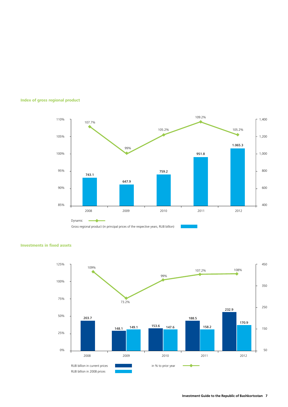







#### **Investments in fixed assets**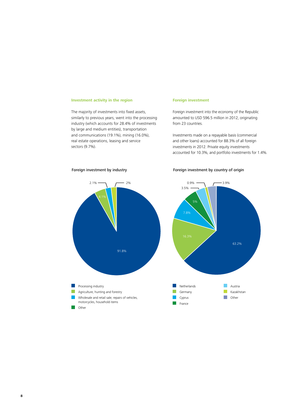#### **Investment activity in the region**

The majority of investments into fixed assets, similarly to previous years, went into the processing industry (which accounts for 28.4% of investments by large and medium entities), transportation and communications (19.1%), mining (16.0%), real estate operations, leasing and service sectors (9.7%).

#### **Foreign investment**

Foreign investment into the economy of the Republic amounted to USD 596.5 million in 2012, originating from 23 countries.

Investments made on a repayable basis (commercial and other loans) accounted for 88.3% of all foreign investments in 2012. Private equity investments accounted for 10.3%, and portfolio investments for 1.4%.



#### Foreign investment by industry **Foreign** investment by country of origin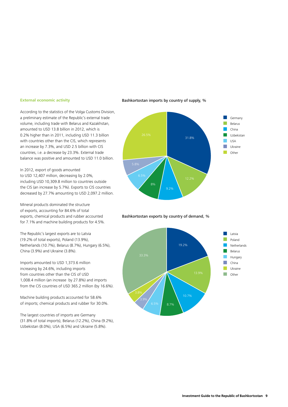#### **External economic activity**

According to the statistics of the Volga Customs Division, a preliminary estimate of the Republic's external trade volume, including trade with Belarus and Kazakhstan, amounted to USD 13.8 billion in 2012, which is 0.2% higher than in 2011, including USD 11.3 billion with countries other than the CIS, which represents an increase by 7.3%, and USD 2.5 billion with CIS countries, i.e. a decrease by 23.3%. External trade balance was positive and amounted to USD 11.0 billion.

In 2012, export of goods amounted to USD 12,407 million, decreasing by 2.0%, including USD 10,309.8 million to countries outside the CIS (an increase by 5.7%). Exports to CIS countries decreased by 27.7% amounting to USD 2,097.2 million.

Mineral products dominated the structure of exports, accounting for 84.6% of total exports, chemical products and rubber accounted for 7.1% and machine building products for 4.5%.

The Republic's largest exports are to Latvia (19.2% of total exports), Poland (13.9%), Netherlands (10.7%), Belarus (8.7%), Hungary (6.5%), China (3.9%) and Ukraine (3.8%).

Imports amounted to USD 1,373.6 million increasing by 24.6%, including imports from countries other than the CIS of USD 1,008.4 million (an increase by 27.8%) and imports from the CIS countries of USD 365.2 million (by 16.6%).

Machine building products accounted for 58.6% of imports; chemical products and rubber for 30.0%.

The largest countries of imports are Germany (31.8% of total imports), Belarus (12.2%), China (9.2%), Uzbekistan (8.0%), USA (6.5%) and Ukraine (5.8%).

#### Bashkortostan imports by country of supply, %



Bashkortostan exports by country of demand, %

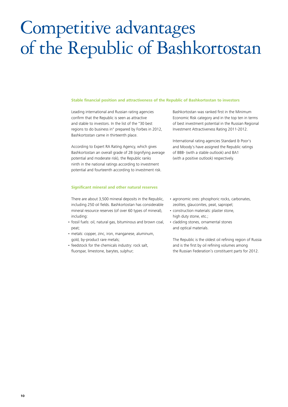## Competitive advantages of the Republic of Bashkortostan

#### **Stable financial position and attractiveness of the Republic of Bashkortostan to investors**

Leading international and Russian rating agencies confirm that the Republic is seen as attractive and stable to investors. In the list of the "30 best regions to do business in" prepared by Forbes in 2012, Bashkortostan came in thirteenth place.

According to Expert RA Rating Agency, which gives Bashkortostan an overall grade of 2B (signifying average potential and moderate risk), the Republic ranks ninth in the national ratings according to investment potential and fourteenth according to investment risk.

#### **Significant mineral and other natural reserves**

There are about 3,500 mineral deposits in the Republic, including 250 oil fields. Bashkortostan has considerable mineral resource reserves (of over 60 types of mineral), including:

- fossil fuels: oil, natural gas, bituminous and brown coal, peat;
- metals: copper, zinc, iron, manganese, aluminum, gold, by-product rare metals;
- feedstock for the chemicals industry: rock salt, fluorspar, limestone, barytes, sulphur;

Bashkortostan was ranked first in the Minimum Economic Risk category and in the top ten in terms of best investment potential in the Russian Regional Investment Attractiveness Rating 2011-2012.

International rating agencies Standard & Poor's and Moody's have assigned the Republic ratings of BBB- (with a stable outlook) and BA1 (with a positive outlook) respectively.

- agronomic ores: phosphoric rocks, carbonates, zeolites, glauconites, peat, sapropel;
- • construction materials: plaster stone, high duty stone, etc.;
- cladding stones, ornamental stones and optical materials.

The Republic is the oldest oil refining region of Russia and is the first by oil refining volumes among the Russian Federation's constituent parts for 2012.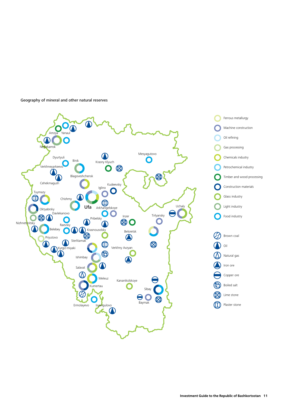

Geography of mineral and other natural reserves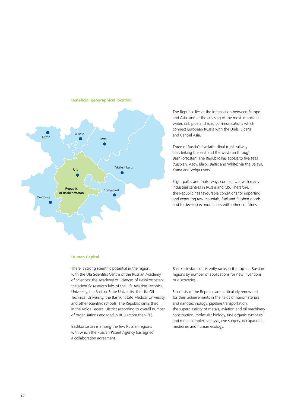

#### **Beneficial geographical location**

The Republic lies at the intersection between Europe and Asia, and at the crossing of the most important water, rail, pipe and road communications which connect European Russia with the Urals, Siberia and Central Asia.

Three of Russia's five latitudinal trunk railway lines linking the east and the west run through Bashkortostan. The Republic has access to five seas (Caspian, Azov, Black, Baltic and White) via the Belaya, Kama and Volga rivers.

Flight paths and motorways connect Ufa with many industrial centres in Russia and CIS. Therefore, the Republic has favourable conditions for importing and exporting raw materials, fuel and finished goods, and to develop economic ties with other countries.

#### **Human Capital**

There is strong scientific potential in the region, with the Ufa Scientific Centre of the Russian Academy of Sciences; the Academy of Sciences of Bashkortostan; the scientific research labs of the Ufa Aviation Technical University, the Bashkir State University, the Ufa Oil Technical University, the Bashkir State Medical University; and other scientific schools. The Republic ranks third in the Volga Federal District according to overall number of organisations engaged in R&D (more than 70).

Bashkortostan is among the few Russian regions with which the Russian Patent Agency has signed a collaboration agreement.

Bashkortostan consistently ranks in the top ten Russian regions by number of applications for new inventions or discoveries.

Scientists of the Republic are particularly renowned for their achievements in the fields of nanomaterials and nanotechnology, pipeline transportation, the superplasticity of metals, aviation and oil machinery construction, molecular biology, fine organic synthesis and metal complex catalysis, eye surgery, occupational medicine, and human ecology.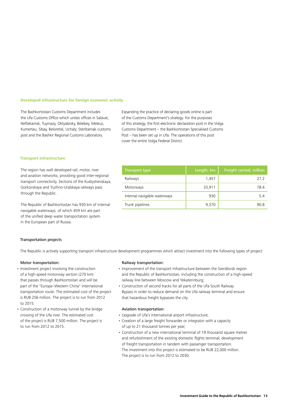#### **Developed infrastructure for foreign economic activity**

The Bashkortostan Customs Department includes the Ufa Customs Office which unites offices in Salavat, Neftekamsk, Tuymazy, Oktyabrsky, Belebey, Meleuz, Kumertau, Sibay, Beloretsk, Uchaly; Sterlitamak customs post and the Bashkir Regional Customs Laboratory.

Expanding the practice of declaring goods online is part of the Customs Department's strategy. For the purposes of this strategy, the first electronic declaration post in the Volga Customs Department – the Bashkortostan Specialised Customs Post – has been set up in Ufa. The operations of this post cover the entire Volga Federal District.

#### **Transport infrastructure**

The region has well developed rail, motor, river and aviation networks, providing good inter-regional transport connectivity. Sections of the Kuibyshevskaya, Gorkovskaya and Yuzhno-Uralskaya railways pass through the Republic.

The Republic of Bashkortostan has 930 km of internal navigable waterways, of which 459 km are part of the unified deep water transportation system in the European part of Russia.

### Transport type  $\parallel$  Length, km  $\parallel$  Freight carried, million Railways 27.2 Motorways 33,911 **78.4** Internal navigable waterways 1930 5.4 Trunk pipelines and the set of the set of the set of the set of the set of the set of the set of the set of the set of the set of the set of the set of the set of the set of the set of the set of the set of the set of the

#### Transportation projects

The Republic is actively supporting transport infrastructure development programmes which attract investment into the following types of project:

#### Motor transportation:

- Investment project involving the construction of a high-speed motorway section (270 km) that passes through Bashkortostan and will be part of the "Europe–Western China" international transportation route. The estimated cost of the project is RUB 256 million. The project is to run from 2012 to 2015.
- • Construction of a motorway tunnel by the bridge crossing of the Ufa river. The estimated cost of the project is RUB 7,500 million. The project is to run from 2012 to 2015.

#### Railway transportation:

- Improvement of the transport infrastructure between the Sverdlovsk region and the Republic of Bashkortostan, including the construction of a high-speed railway line between Moscow and Yekaterinburg;
- Construction of second tracks for all parts of the Ufa South Railway Bypass in order to reduce demand on the Ufa railway terminal and ensure that hazardous freight bypasses the city.

#### Aviation transportation:

- • Upgrade of Ufa's international airport infrastructure;
- • Creation of a large freight forwarder or integrator with a capacity of up to 21 thousand tonnes per year;
- • Construction of a new international terminal of 19 thousand square metres and refurbishment of the existing domestic flights terminal; development of freight transportation in tandem with passenger transportation. The investment into this project is estimated to be RUB 22,000 million. The project is to run from 2012 to 2030.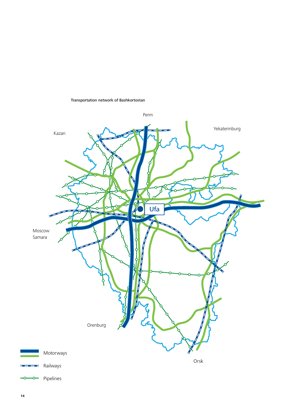

#### Transportation network of Bashkortostan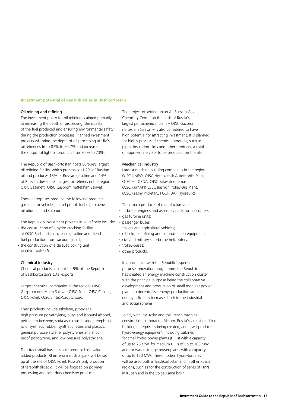#### **Investment potential of key industries in Bashkortostan**

#### Oil mining and refining

The investment policy for oil refining is aimed primarily at increasing the depth of processing, the quality of the fuel produced and ensuring environmental safety during the production processes. Planned investment projects will bring the depth of oil processing at Ufa's oil refineries from 87% to 94.7% and increase the output of light oil products from 62% to 73%.

The Republic of Bashkortostan hosts Europe's largest oil refining facility, which processes 11.2% of Russian oil and produces 15% of Russian gasoline and 14% of Russian diesel fuel. Largest oil refiners in the region: OJSC Bashneft, OJSC Gasprom neftekhim Salavat.

These enterprises produce the following products: gasoline for vehicles, diesel petrol, fuel oil, toluene, oil bitumen and sulphur.

The Republic's investment projects in oil refinery include:

- the construction of a hydro cracking facility at OJSC Bashneft to increase gasoline and diesel fuel production from vacuum gasoil;
- the construction of a delayed coking unit at OJSC Bashneft.

#### Chemical industry

Chemical products account for 9% of the Republic of Bashkortostan's total exports.

Largest chemical companies in the region: OJSC Gazprom neftekhim Salavat, OJSC Soda, OJSC Caustic, OJSC Polief, OJSC Sintez-Caoutchouc.

Their products include ethylene, propylene, high pressure polyethylene, butyl and isobutyl alcohol, petroleum benzene, soda ash, caustic soda, terephthalic acid, synthetic rubber, synthetic resins and plastics, general purpose styrene, polystyrenes and shock proof polystyrene, and low pressure polyethylene.

To attract small businesses to produce high value added products, KhimTerra industrial park will be set up at the site of OJSC Polief, Russia's only producer of terephthalic acid. It will be focused on polymer processing and light duty chemistry products.

The project of setting up an All-Russian Gas Chemistry Centre on the basis of Russia's largest petrochemical plant – OJSC Gazprom neftekhim Salavat – is also considered to have high potential for attracting investment. It is planned for highly processed chemical products, such as pipes, insulation films and other products, a total of approximately 20, to be produced on the site.

#### Mechanical industry

Largest machine building companies in the region: OJSC UMPO, OJSC Neftekamsk Automobile Plant, OJSC AK OZNA, OJSC Salavatneftemash, OJSC KumAPP, OJSC Bashkir Trolley-Bus Plant, OJSC Krasny Proletary, FGUP UAP Hydraulics.

Their main products of manufacture are:

- turbo-jet engines and assembly parts for helicopters;
- gas turbine units;
- passenger buses;
- trailers and agricultural vehicles;
- • oil field, oil refining and oil production equipment;
- civil and military ship-borne helicopters;
- trolley-buses;
- other products.

In accordance with the Republic's special purpose innovation programme, the Republic has created an energy machine construction cluster with the principal purpose being the collaborative development and production of small modular power plants to decentralise energy production so that energy efficiency increases both in the industrial and social spheres.

Jointly with RusHydro and the French machine construction corporation Alstom, Russia's largest machine building enterprise is being created, and it will produce hydro-energy equipment, including turbines for small hydro power plants (HPPs) with a capacity of up to 25 MW, for medium HPPs of up to 100 MW, and for water storage power plants with a capacity of up to 150 MW. These modern hydro-turbines will be used both in Bashkortostan and in other Russian regions, such as for the construction of series of HPPs in Kuban and in the Volga-Kama basin.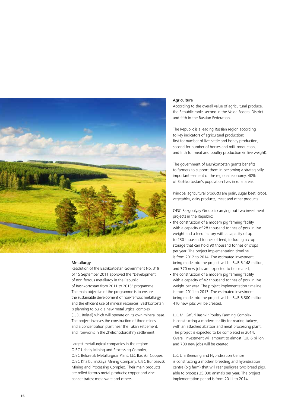

#### Metallurgy

Resolution of the Bashkortostan Government No. 319 of 15 September 2011 approved the "Development of non-ferrous metallurgy in the Republic of Bashkortostan from 2011 to 2015" programme. The main objective of the programme is to ensure the sustainable development of non-ferrous metallurgy and the efficient use of mineral resources. Bashkortostan is planning to build a new metallurgical complex (OJSC Belstal) which will operate on its own mineral base. The project involves the construction of three mines and a concentration plant near the Tukan settlement, and ironworks in the Zheleznodorozhny settlement.

Largest metallurgical companies in the region: OJSC Uchaly Mining and Processing Complex, OJSC Beloretsk Metallurgical Plant, LLC Bashkir Copper, OJSC Khaibullinskaya Mining Company, CJSC Buribaevsk Mining and Processing Complex. Their main products are rolled ferrous metal products; copper and zinc concentrates; metalware and others.

#### Agriculture

According to the overall value of agricultural produce, the Republic ranks second in the Volga Federal District and fifth in the Russian Federation.

The Republic is a leading Russian region according to key indicators of agricultural production: first for number of live cattle and honey production, second for number of horses and milk production, and fifth for meat and poultry production (in live weight).

The government of Bashkortostan grants benefits to farmers to support them in becoming a strategically important element of the regional economy. 40% of Bashkortostan's population lives in rural areas.

Principal agricultural products are grain, sugar beet, crops, vegetables, dairy products, meat and other products.

OJSC Razgoulyay Group is carrying out two investment projects in the Republic:

- the construction of a modern pig farming facility with a capacity of 28 thousand tonnes of pork in live weight and a feed factory with a capacity of up to 230 thousand tonnes of feed, including a crop storage that can hold 90 thousand tonnes of crops per year. The project implementation timeline is from 2012 to 2014. The estimated investment being made into the project will be RUB 6,148 million, and 370 new jobs are expected to be created;
- the construction of a modern pig farming facility with a capacity of 42 thousand tonnes of pork in live weight per year. The project implementation timeline is from 2011 to 2013. The estimated investment being made into the project will be RUB 6,300 million. 410 new jobs will be created.

LLC M. Gafuri Bashkir Poultry Farming Complex is constructing a modern facility for rearing turkeys, with an attached abattoir and meat processing plant. The project is expected to be completed in 2014. Overall investment will amount to almost RUB 6 billion and 700 new jobs will be created.

LLC Ufa Breeding and Hybridisation Centre is constructing a modern breeding and hybridisation centre (pig farm) that will rear pedigree two-breed pigs, able to process 35,000 animals per year. The project implementation period is from 2011 to 2014,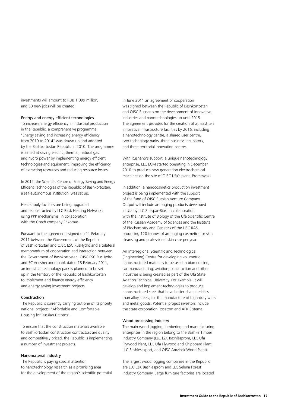investments will amount to RUB 1,099 million, and 50 new jobs will be created.

#### Energy and energy efficient technologies

To increase energy efficiency in industrial production in the Republic, a comprehensive programme, "Energy saving and increasing energy efficiency from 2010 to 2014" was drawn up and adopted by the Bashkortostan Republic in 2010. The programme is aimed at saving electric, thermal, natural gas and hydro power by implementing energy efficient technologies and equipment, improving the efficiency of extracting resources and reducing resource losses.

In 2012, the Scientific Centre of Energy Saving and Energy Efficient Technologies of the Republic of Bashkortostan, a self-autonomous institution, was set up.

Heat supply facilities are being upgraded and reconstructed by LLC Birsk Heating Networks using PPP mechanisms, in collaboration with the Czech company Enkomas.

Pursuant to the agreements signed on 11 February 2011 between the Government of the Republic of Bashkortostan and OJSC ESC RusHydro and a trilateral memorandum of cooperation and interaction between the Government of Bashkortostan, OJSC ESC RusHydro and SC Vnesheconombank dated 18 February 2011, an industrial technology park is planned to be set up in the territory of the Republic of Bashkortostan to implement and finance energy efficiency and energy saving investment projects.

#### Construction

The Republic is currently carrying out one of its priority national projects: "Affordable and Comfortable Housing for Russian Citizens".

To ensure that the construction materials available to Bashkortostan construction contractors are quality and competitively priced, the Republic is implementing a number of investment projects.

#### Nanomaterial industry

The Republic is paying special attention to nanotechnology research as a promising area for the development of the region's scientific potential. In June 2011 an agreement of cooperation was signed between the Republic of Bashkortostan and OJSC Rusnano on the development of innovative industries and nanotechnologies up until 2015. The agreement provides for the creation of at least ten innovative infrastructure facilities by 2016, including a nanotechnology centre, a shared user centre, two technology parks, three business incubators, and three territorial innovation centres.

With Rusnano's support, a unique nanotechnology enterprise, LLC ECM started operating in December 2010 to produce new generation electrochemical machines on the site of OJSC Ufa's plant, Promsvyaz.

In addition, a nanocosmetics production investment project is being implemented with the support of the fund of OJSC Russian Venture Company. Output will include anti-aging products developed in Ufa by LLC Zhespar-Bios, in collaboration with the Institute of Biology of the Ufa Scientific Centre of the Russian Academy of Sciences and the Institute of Biochemistry and Genetics of the USC RAS, producing 120 tonnes of anti-aging cosmetics for skin cleansing and professional skin care per year.

An Interregional Scientific and Technological (Engineering) Centre for developing volumetric nanostructured materials to be used in biomedicine, car manufacturing, aviation, construction and other industries is being created as part of the Ufa State Aviation Technical University. For example, it will develop and implement technologies to produce nanostructured steel that have better characteristics than alloy steels, for the manufacture of high-duty wires and metal goods. Potential project investors include the state corporation Rosatom and AFK Sistema.

#### Wood processing industry

The main wood logging, lumbering and manufacturing enterprises in the region belong to the Bashkir Timber Industry Company (LLC LZK Bashlesprom, LLC Ufa Plywood Plant, LLC Ufa Plywood and Chipboard Plant, LLC Bashlesexport, and OJSC Amzinsk Wood Plant).

The largest wood logging companies in the Republic are LLC LZK Bashlesprom and LLC Selena Forest Industry Company. Large furniture factories are located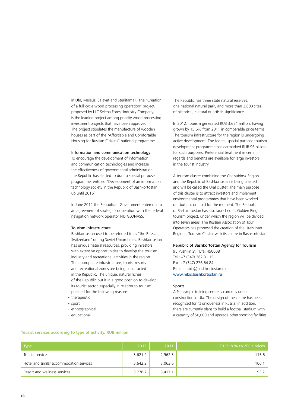in Ufa, Meleuz, Salavat and Sterlitamak. The "Creation of a full-cycle wood processing operation" project, proposed by LLC Selena Forest Industry Company, is the leading project among priority wood processing investment projects that have been approved. The project stipulates the manufacture of wooden houses as part of the "Affordable and Comfortable Housing for Russian Citizens" national programme.

#### Information and communication technology

To encourage the development of information and communication technologies and increase the effectiveness of governmental administration, the Republic has started to draft a special purpose programme, entitled "Development of an information technology society in the Republic of Bashkortostan up until 2016".

In June 2011 the Republican Government entered into an agreement of strategic cooperation with the federal navigation network operator NIS GLONASS.

#### Tourism infrastructure

Bashkortostan used to be referred to as "the Russian Switzerland" during Soviet Union times. Bashkortostan has unique natural resources, providing investors with extensive opportunities to develop the tourism industry and recreational activities in the region. The appropriate infrastructure, tourist resorts and recreational zones are being constructed in the Republic. The unique, natural riches of the Republic put it in a good position to develop its tourist sector, especially in relation to tourism pursued for the following reasons:

- therapeutic
- • sport
- ethnographical
- educational

The Republic has three state natural reserves, one national natural park, and more than 3,000 sites of historical, cultural or artistic significance.

In 2012, tourism generated RUB 3,621 million, having grown by 15.6% from 2011 in comparable price terms. The tourism infrastructure for the region is undergoing active development. The federal special purpose tourism development programme has earmarked RUB 96 billion for such purposes. Preferential treatment in certain regards and benefits are available for large investors in the tourist industry.

A tourism cluster combining the Chelyabinsk Region and the Republic of Bashkortostan is being created and will be called the Ural cluster. The main purpose of this cluster is to attract investors and implement environmental programmes that have been worked out but put on hold for the moment. The Republic of Bashkortostan has also launched its Golden Ring tourism project, under which the region will be divided into seven areas. The Russian Association of Tour Operators has proposed the creation of the Urals Inter-Regional Tourism Cluster with its centre in Bashkortostan.

#### Republic of Bashkortostan Agency for Tourism

95 Pushkin St., Ufa, 450008 Tel.: +7 (347) 262 31 15 Fax: +7 (347) 276 64 84 E-mail: mbis@bashkortostan.ru www.mbis.bashkortostan.ru

#### Sports

A Paralympic training centre is currently under construction in Ufa. The design of the centre has been recognised for its uniqueness in Russia. In addition, there are currently plans to build a football stadium with a capacity of 50,000 and upgrade other sporting facilities.

| <b>Type</b>                              | 2012    | 2011    | 2012 in % to 2011 prices |
|------------------------------------------|---------|---------|--------------------------|
| Tourist services                         | 3.621.2 | 2,962.3 | 115.6                    |
| Hotel and similar accommodation services | 3,642.2 | 3,063.6 | 106.1                    |
| Resort and wellness services             | 3,778.7 | 3.417.1 | 93.2                     |

#### **Tourist services according to type of activity, RUB million**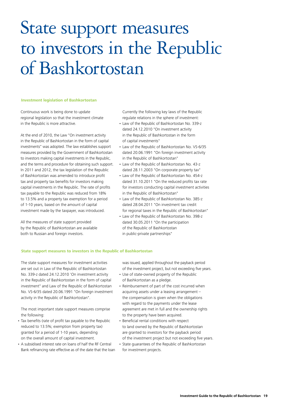### State support measures to investors in the Republic of Bashkortostan

#### **Investment legislation of Bashkortostan**

Continuous work is being done to update regional legislation so that the investment climate in the Republic is more attractive.

At the end of 2010, the Law "On investment activity in the Republic of Bashkortostan in the form of capital investments" was adopted. The law establishes support measures provided by the Government of Bashkortostan to investors making capital investments in the Republic, and the terms and procedure for obtaining such support. In 2011 and 2012, the tax legislation of the Republic of Bashkortostan was amended to introduce profit tax and property tax benefits for investors making capital investments in the Republic. The rate of profits tax payable to the Republic was reduced from 18% to 13.5% and a property tax exemption for a period of 1-10 years, based on the amount of capital investment made by the taxpayer, was introduced.

All the measures of state support provided by the Republic of Bashkortostan are available both to Russian and foreign investors.

Currently the following key laws of the Republic regulate relations in the sphere of investment:

- Law of the Republic of Bashkortostan No. 339-z dated 24.12.2010 "On investment activity in the Republic of Bashkortostan in the form of capital investments"
- Law of the Republic of Bashkortostan No. VS-6/35 dated 20.06.1991 "On foreign investment activity in the Republic of Bashkortostan"
- Law of the Republic of Bashkortostan No. 43-z dated 28.11.2003 "On corporate property tax"
- Law of the Republic of Bashkortostan No. 454-z dated 31.10.2011 "On the reduced profits tax rate for investors conducting capital investment activities in the Republic of Bashkortostan"
- Law of the Republic of Bashkortostan No. 385-z dated 28.04.2011 "On investment tax credit for regional taxes in the Republic of Bashkortostan"
- • Law of the Republic of Bashkortostan No. 398-z dated 30.05.2011 "On the participation of the Republic of Bashkortostan in public-private partnerships"

#### **State support measures to investors in the Republic of Bashkortostan**

The state support measures for investment activities are set out in Law of the Republic of Bashkortostan No. 339-z dated 24.12.2010 'On investment activity in the Republic of Bashkortostan in the form of capital investment" and Law of the Republic of Bashkortostan No. VS-6/35 dated 20.06.1991 "On foreign investment activity in the Republic of Bashkortostan".

The most important state support measures comprise the following:

- Tax benefits (rate of profit tax payable to the Republic reduced to 13.5%; exemption from property tax) granted for a period of 1-10 years, depending on the overall amount of capital investment.
- A subsidised interest rate on loans of half the RF Central Bank refinancing rate effective as of the date that the loan

was issued, applied throughout the payback period of the investment project, but not exceeding five years.

- • Use of state-owned property of the Republic of Bashkortostan as a pledge.
- Reimbursement of part of the cost incurred when acquiring assets under a leasing arrangement – the compensation is given when the obligations with regard to the payments under the lease agreement are met in full and the ownership rights to the property have been acquired.
- • Beneficial rental conditions with respect to land owned by the Republic of Bashkortostan are granted to investors for the payback period of the investment project but not exceeding five years.
- • State guarantees of the Republic of Bashkortostan for investment projects.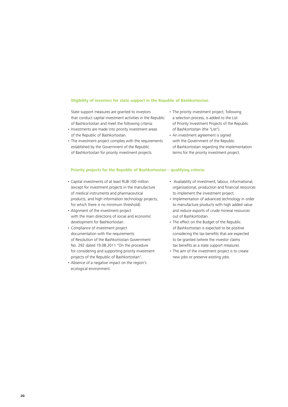#### **Eligibility of investors for state support in the Republic of Bashkortostan**

State support measures are granted to investors that conduct capital investment activities in the Republic of Bashkortostan and meet the following criteria:

- Investments are made into priority investment areas of the Republic of Bashkortostan.
- The investment project complies with the requirements established by the Government of the Republic of Bashkortostan for priority investment projects.
- The priority investment project, following a selection process, is added to the List of Priority Investment Projects of the Republic of Bashkortostan (the "List").
- An investment agreement is signed with the Government of the Republic of Bashkortostan regarding the implementation terms for the priority investment project.

#### **Priority projects for the Republic of Bashkortostan – qualifying criteria:**

- • Capital investments of at least RUB 100 million (except for investment projects in the manufacture of medical instruments and pharmaceutical products, and high information technology projects, for which there is no minimum threshold).
- Alignment of the investment project with the main directions of social and economic development for Bashkortostan.
- • Compliance of investment project documentation with the requirements of Resolution of the Bashkortostan Government No. 292 dated 19.08.2011 "On the procedure for considering and supporting priority investment projects of the Republic of Bashkortostan".
- • Absence of a negative impact on the region's ecological environment.
- • Availability of investment, labour, informational, organisational, production and financial resources to implement the investment project.
- Implementation of advanced technology in order to manufacture products with high added value and reduce exports of crude mineral resources out of Bashkortostan.
- The effect on the Budget of the Republic of Bashkortostan is expected to be positive considering the tax benefits that are expected to be granted (where the investor claims tax benefits as a state support measure).
- The aim of the investment project is to create new jobs or preserve existing jobs.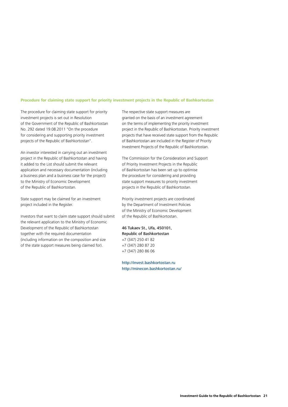#### **Procedure for claiming state support for priority investment projects in the Republic of Bashkortostan**

The procedure for claiming state support for priority investment projects is set out in Resolution of the Government of the Republic of Bashkortostan No. 292 dated 19.08.2011 "On the procedure for considering and supporting priority investment projects of the Republic of Bashkortostan".

An investor interested in carrying out an investment project in the Republic of Bashkortostan and having it added to the List should submit the relevant application and necessary documentation (including a business plan and a business case for the project) to the Ministry of Economic Development of the Republic of Bashkortostan.

State support may be claimed for an investment project included in the Register.

Investors that want to claim state support should submit the relevant application to the Ministry of Economic Development of the Republic of Bashkortostan together with the required documentation (including information on the composition and size of the state support measures being claimed for).

The respective state support measures are granted on the basis of an investment agreement on the terms of implementing the priority investment project in the Republic of Bashkortostan. Priority investment projects that have received state support from the Republic of Bashkortostan are included in the Register of Priority Investment Projects of the Republic of Bashkortostan.

The Commission for the Consideration and Support of Priority Investment Projects in the Republic of Bashkortostan has been set up to optimise the procedure for considering and providing state support measures to priority investment projects in the Republic of Bashkortostan.

Priority investment projects are coordinated by the Department of Investment Policies of the Ministry of Economic Development of the Republic of Bashkortostan.

46 Tukaev St., Ufa, 450101, Republic of Bashkortostan +7 (347) 250 41 82 +7 (347) 280 87 20 +7 (347) 280 86 06

http://invest.bashkortostan.ru http://minecon.bashkortostan.ru/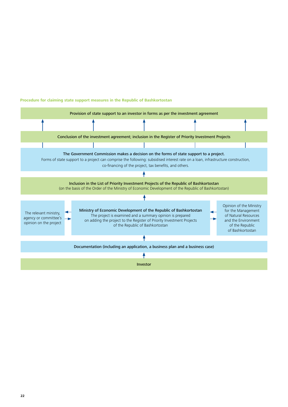

#### **Procedure for claiming state support measures in the Republic of Bashkortostan**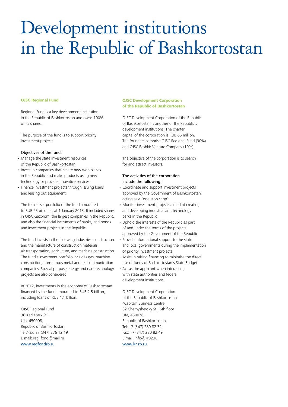# Development institutions in the Republic of Bashkortostan

#### **OJSC Regional Fund**

Regional Fund is a key development institution in the Republic of Bashkortostan and owns 100% of its shares.

The purpose of the fund is to support priority investment projects.

#### Objectives of the fund:

- Manage the state investment resources of the Republic of Bashkortostan
- Invest in companies that create new workplaces in the Republic and make products using new technology or provide innovative services
- Finance investment projects through issuing loans and leasing out equipment.

The total asset portfolio of the fund amounted to RUB 25 billion as at 1 January 2013. It included shares in OJSC Gazprom, the largest companies in the Republic, and also the financial instruments of banks, and bonds and investment projects in the Republic.

The fund invests in the following industries: construction and the manufacture of construction materials, air transportation, agriculture, and machine construction. The fund's investment portfolio includes gas, machine construction, non-ferrous metal and telecommunication companies. Special purpose energy and nanotechnology projects are also considered.

In 2012, investments in the economy of Bashkortostan financed by the fund amounted to RUB 2.5 billion, including loans of RUB 1.1 billion.

OJSC Regional Fund 36 Karl Marx St., Ufa, 450008, Republic of Bashkortostan, Tel./Fax: +7 (347) 276 12 19 E-mail: reg\_fond@mail.ru www.regfondrb.ru

#### **OJSC Development Corporation of the Republic of Bashkortostan**

OJSC Development Corporation of the Republic of Bashkortostan is another of the Republic's development institutions. The charter capital of the corporation is RUB 65 million. The founders comprise OJSC Regional Fund (90%) and OJSC Bashkir Venture Company (10%).

The objective of the corporation is to search for and attract investors.

#### The activities of the corporation include the following:

- • Coordinate and support investment projects approved by the Government of Bashkortostan, acting as a "one-stop shop"
- Monitor investment projects aimed at creating and developing industrial and technology parks in the Republic
- • Uphold the interests of the Republic as part of and under the terms of the projects approved by the Government of the Republic
- Provide informational support to the state and local governments during the implementation of priority investment projects
- • Assist in raising financing to minimise the direct use of funds of Bashkortostan's State Budget
- Act as the applicant when interacting with state authorities and federal development institutions.

OJSC Development Corporation of the Republic of Bashkortostan "Capital" Business Centre 82 Chernyshevsky St., 6th floor Ufa, 450076, Republic of Bashkortostan Tel: +7 (347) 280 82 32 Fax: +7 (347) 280 82 49 E-mail: info@kr02.ru www.kr-rb.ru